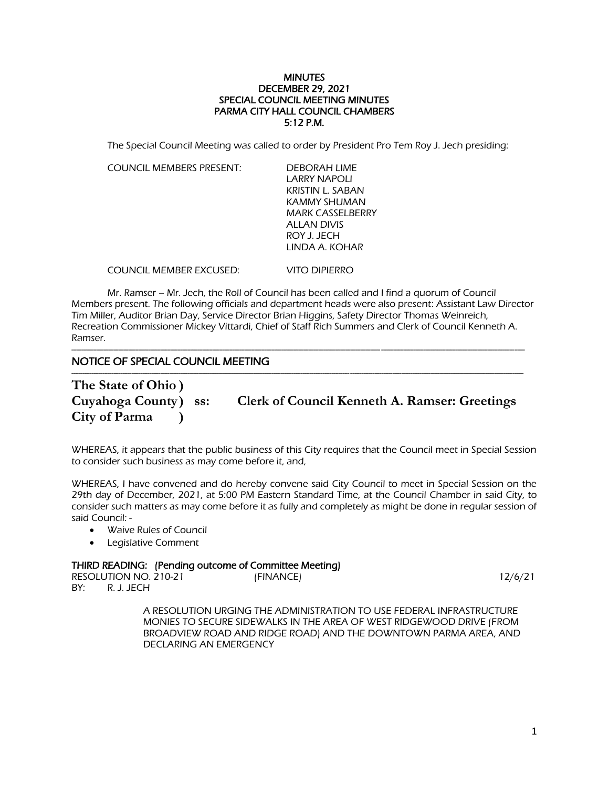## **MINUTES** DECEMBER 29, 2021 SPECIAL COUNCIL MEETING MINUTES PARMA CITY HALL COUNCIL CHAMBERS 5:12 P.M.

The Special Council Meeting was called to order by President Pro Tem Roy J. Jech presiding:

COUNCIL MEMBERS PRESENT: DEBORAH LIME

LARRY NAPOLI KRISTIN L. SABAN KAMMY SHUMAN MARK CASSELBERRY ALLAN DIVIS ROY J. JECH LINDA A. KOHAR

COUNCIL MEMBER EXCUSED: VITO DIPIERRO

Mr. Ramser – Mr. Jech, the Roll of Council has been called and I find a quorum of Council Members present. The following officials and department heads were also present: Assistant Law Director Tim Miller, Auditor Brian Day, Service Director Brian Higgins, Safety Director Thomas Weinreich, Recreation Commissioner Mickey Vittardi, Chief of Staff Rich Summers and Clerk of Council Kenneth A. Ramser.

## --------------------------------------------------------------------------------------------------------------------------------------------------------------------------------------- NOTICE OF SPECIAL COUNCIL MEETING

----------------------------------------------------------------------------------------------------------------------------------------------------------------------------------------------------------- **The State of Ohio ) City of Parma )**

**Cuyahoga County) ss: Clerk of Council Kenneth A. Ramser: Greetings**

WHEREAS, it appears that the public business of this City requires that the Council meet in Special Session to consider such business as may come before it, and,

WHEREAS, I have convened and do hereby convene said City Council to meet in Special Session on the 29th day of December, 2021, at 5:00 PM Eastern Standard Time, at the Council Chamber in said City, to consider such matters as may come before it as fully and completely as might be done in regular session of said Council: -

- Waive Rules of Council
- Legislative Comment

# THIRD READING: (Pending outcome of Committee Meeting)

| RESOLUTION NO. 210-21 | (FINANCE) | 12/6/21 |
|-----------------------|-----------|---------|
| BY:<br>R. J. JECH     |           |         |

A RESOLUTION URGING THE ADMINISTRATION TO USE FEDERAL INFRASTRUCTURE MONIES TO SECURE SIDEWALKS IN THE AREA OF WEST RIDGEWOOD DRIVE (FROM BROADVIEW ROAD AND RIDGE ROAD) AND THE DOWNTOWN PARMA AREA, AND DECLARING AN EMERGENCY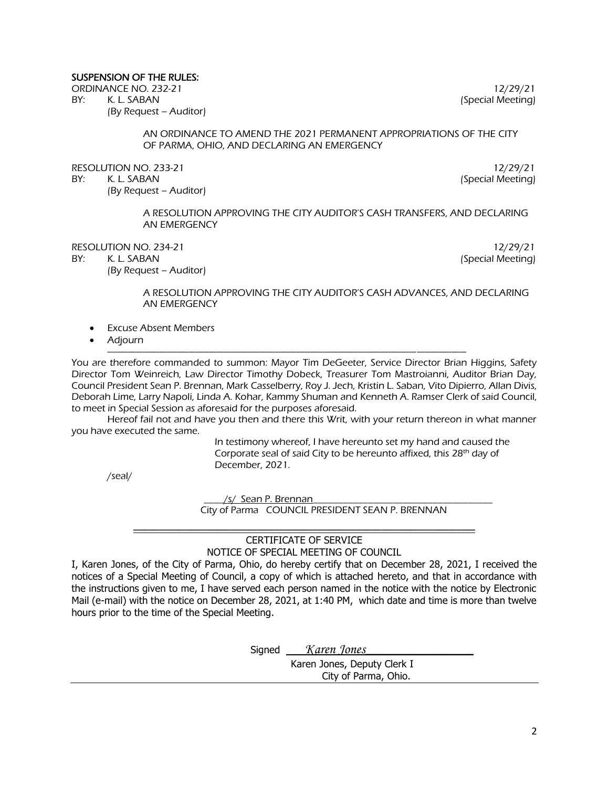# SUSPENSION OF THE RULES:

ORDINANCE NO. 232-21 12/29/21 12/29/21

BY: K. L. SABAN (Special Meeting)

(By Request – Auditor)

AN ORDINANCE TO AMEND THE 2021 PERMANENT APPROPRIATIONS OF THE CITY OF PARMA, OHIO, AND DECLARING AN EMERGENCY

RESOLUTION NO. 233-21 12/29/21 12/29/21

(By Request – Auditor)

BY: K. L. SABAN (Special Meeting)

A RESOLUTION APPROVING THE CITY AUDITOR'S CASH TRANSFERS, AND DECLARING AN EMERGENCY

RESOLUTION NO. 234-21 12/29/21 12/29/21

(By Request – Auditor)

BY: K. L. SABAN (Special Meeting)

## A RESOLUTION APPROVING THE CITY AUDITOR'S CASH ADVANCES, AND DECLARING AN EMERGENCY

- **Excuse Absent Members**
- Adjourn

------------------------------------------------------------------------------------------------------------------------------------------------- You are therefore commanded to summon: Mayor Tim DeGeeter, Service Director Brian Higgins, Safety Director Tom Weinreich, Law Director Timothy Dobeck, Treasurer Tom Mastroianni, Auditor Brian Day, Council President Sean P. Brennan, Mark Casselberry, Roy J. Jech, Kristin L. Saban, Vito Dipierro, Allan Divis, Deborah Lime, Larry Napoli, Linda A. Kohar, Kammy Shuman and Kenneth A. Ramser Clerk of said Council, to meet in Special Session as aforesaid for the purposes aforesaid.

Hereof fail not and have you then and there this Writ, with your return thereon in what manner you have executed the same.

> In testimony whereof, I have hereunto set my hand and caused the Corporate seal of said City to be hereunto affixed, this 28<sup>th</sup> day of December, 2021.

/seal/

/s/ Sean P. Brennan City of Parma COUNCIL PRESIDENT SEAN P. BRENNAN

#### ---------------------------------------------------------------------------------------------------------------------------------------------------------------------------- CERTIFICATE OF SERVICE NOTICE OF SPECIAL MEETING OF COUNCIL

I, Karen Jones, of the City of Parma, Ohio, do hereby certify that on December 28, 2021, I received the notices of a Special Meeting of Council, a copy of which is attached hereto, and that in accordance with the instructions given to me, I have served each person named in the notice with the notice by Electronic Mail (e-mail) with the notice on December 28, 2021, at 1:40 PM, which date and time is more than twelve hours prior to the time of the Special Meeting.

Signed *Karen Jones* 

 Karen Jones, Deputy Clerk I City of Parma, Ohio.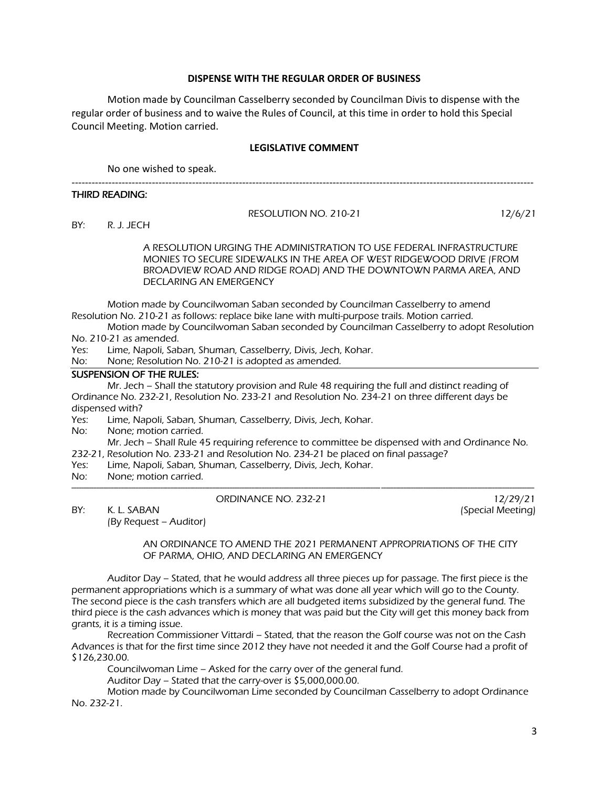## **DISPENSE WITH THE REGULAR ORDER OF BUSINESS**

Motion made by Councilman Casselberry seconded by Councilman Divis to dispense with the regular order of business and to waive the Rules of Council, at this time in order to hold this Special Council Meeting. Motion carried.

# **LEGISLATIVE COMMENT**

No one wished to speak.

#### THIRD READING:

RESOLUTION NO. 210-21 12/6/21<br>BY: R. J. JECH

BY: R. J. JECH

A RESOLUTION URGING THE ADMINISTRATION TO USE FEDERAL INFRASTRUCTURE MONIES TO SECURE SIDEWALKS IN THE AREA OF WEST RIDGEWOOD DRIVE (FROM BROADVIEW ROAD AND RIDGE ROAD) AND THE DOWNTOWN PARMA AREA, AND DECLARING AN EMERGENCY

------------------------------------------------------------------------------------------------------------------------------------------

Motion made by Councilwoman Saban seconded by Councilman Casselberry to amend Resolution No. 210-21 as follows: replace bike lane with multi-purpose trails. Motion carried.

Motion made by Councilwoman Saban seconded by Councilman Casselberry to adopt Resolution No. 210-21 as amended.

- Yes: Lime, Napoli, Saban, Shuman, Casselberry, Divis, Jech, Kohar.
- No: None; Resolution No. 210-21 is adopted as amended.

# SUSPENSION OF THE RULES:

 Mr. Jech – Shall the statutory provision and Rule 48 requiring the full and distinct reading of Ordinance No. 232-21, Resolution No. 233-21 and Resolution No. 234-21 on three different days be dispensed with?

- Yes: Lime, Napoli, Saban, Shuman, Casselberry, Divis, Jech, Kohar.
- No: None; motion carried.

Mr. Jech – Shall Rule 45 requiring reference to committee be dispensed with and Ordinance No. 232-21, Resolution No. 233-21 and Resolution No. 234-21 be placed on final passage?

- Yes: Lime, Napoli, Saban, Shuman, Casselberry, Divis, Jech, Kohar.
- No: None; motion carried.

#### ORDINANCE NO. 232-21 12/29/21

------------------------------------------------------------------------------------------------------------------------------------------------------------------------------------------- BY: K. L. SABAN (Special Meeting)

(By Request – Auditor)

AN ORDINANCE TO AMEND THE 2021 PERMANENT APPROPRIATIONS OF THE CITY OF PARMA, OHIO, AND DECLARING AN EMERGENCY

Auditor Day – Stated, that he would address all three pieces up for passage. The first piece is the permanent appropriations which is a summary of what was done all year which will go to the County. The second piece is the cash transfers which are all budgeted items subsidized by the general fund. The third piece is the cash advances which is money that was paid but the City will get this money back from grants, it is a timing issue.

Recreation Commissioner Vittardi – Stated, that the reason the Golf course was not on the Cash Advances is that for the first time since 2012 they have not needed it and the Golf Course had a profit of \$126,230.00.

Councilwoman Lime – Asked for the carry over of the general fund.

Auditor Day – Stated that the carry-over is \$5,000,000.00.

Motion made by Councilwoman Lime seconded by Councilman Casselberry to adopt Ordinance No. 232-21.